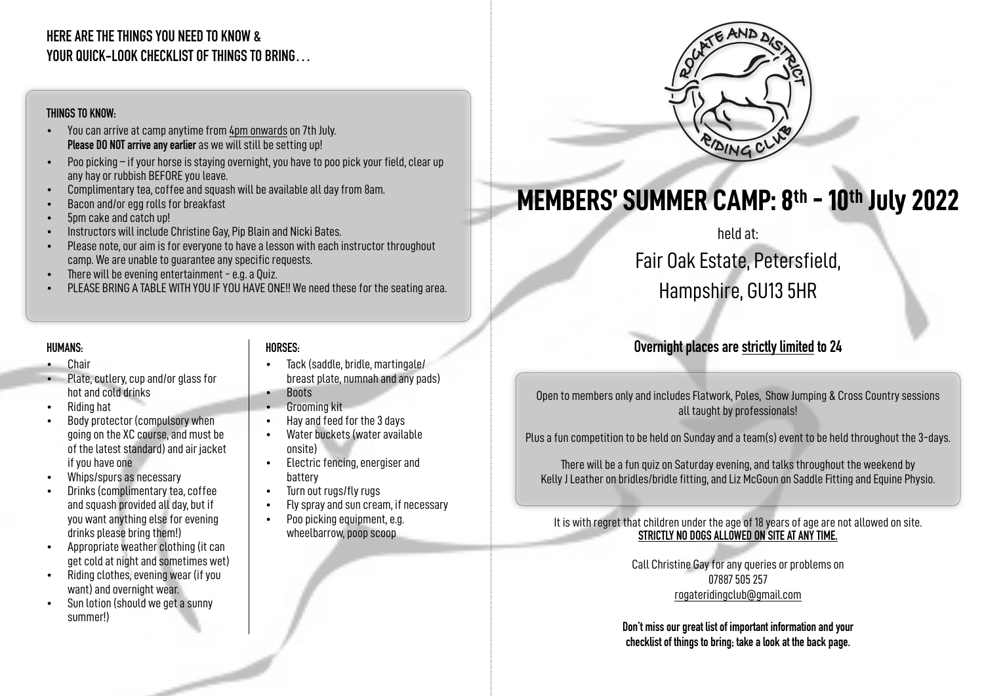### **HERE ARE THE THINGS YOU NEED TO KNOW & YOUR QUICK-LOOK CHECKLIST OF THINGS TO BRING…**

#### **THINGS TO KNOW:**

- You can arrive at camp anytime from 4pm onwards on 7th July. **Please DO NOT arrive any earlier** as we will still be setting up!
- Poo picking if your horse is staying overnight, you have to poo pick your field, clear up any hay or rubbish BEFORE you leave.
- Complimentary tea, coffee and squash will be available all day from 8am.
- Bacon and/or egg rolls for breakfast
- 5pm cake and catch up!
- Instructors will include Christine Gay, Pip Blain and Nicki Bates.
- Please note, our aim is for everyone to have a lesson with each instructor throughout camp. We are unable to guarantee any specific requests.
- There will be evening entertainment e.g. a Quiz.
- PLEASE BRING A TABLE WITH YOU IF YOU HAVE ONE!! We need these for the seating area.

#### **HUMANS:**

- Chair
- Plate, cutlery, cup and/or glass for hot and cold drinks
- Riding hat
- Body protector (compulsory when going on the XC course, and must be of the latest standard) and air jacket if you have one
- Whips/spurs as necessary
- Drinks (complimentary tea, coffee and squash provided all day, but if you want anything else for evening drinks please bring them!)
- Appropriate weather clothing (it can get cold at night and sometimes wet)
- Riding clothes, evening wear (if you want) and overnight wear.
- Sun lotion (should we get a sunny summer!)

#### **HORSES:**

- Tack (saddle, bridle, martingale/ breast plate, numnah and any pads)
- Boots
- Grooming kit
- Hay and feed for the 3 days
- Water buckets (water available onsite)
- Electric fencing, energiser and battery
- Turn out rugs/fly rugs
- Fly spray and sun cream, if necessary
- Poo picking equipment, e.g. wheelbarrow, poop scoop



# **MEMBERS' SUMMER CAMP: 8th - 10th July 2022**

## held at: Fair Oak Estate, Petersfield, Hampshire, GU13 5HR

## **Overnight places are strictly limited to 24**

Open to members only and includes Flatwork, Poles, Show Jumping & Cross Country sessions all taught by professionals!

Plus a fun competition to be held on Sunday and a team(s) event to be held throughout the 3-days.

There will be a fun quiz on Saturday evening, and talks throughout the weekend by Kelly J Leather on bridles/bridle fitting, and Liz McGoun on Saddle Fitting and Equine Physio.

It is with regret that children under the age of 18 years of age are not allowed on site. **STRICTLY NO DOGS ALLOWED ON SITE AT ANY TIME.**

> Call Christine Gay for any queries or problems on 07887 505 257 [rogateridingclub@gmail.com](mailto:rogateridingclub@gmail.com)

**Don't miss our great list of important information and your checklist of things to bring; take a look at the back page.**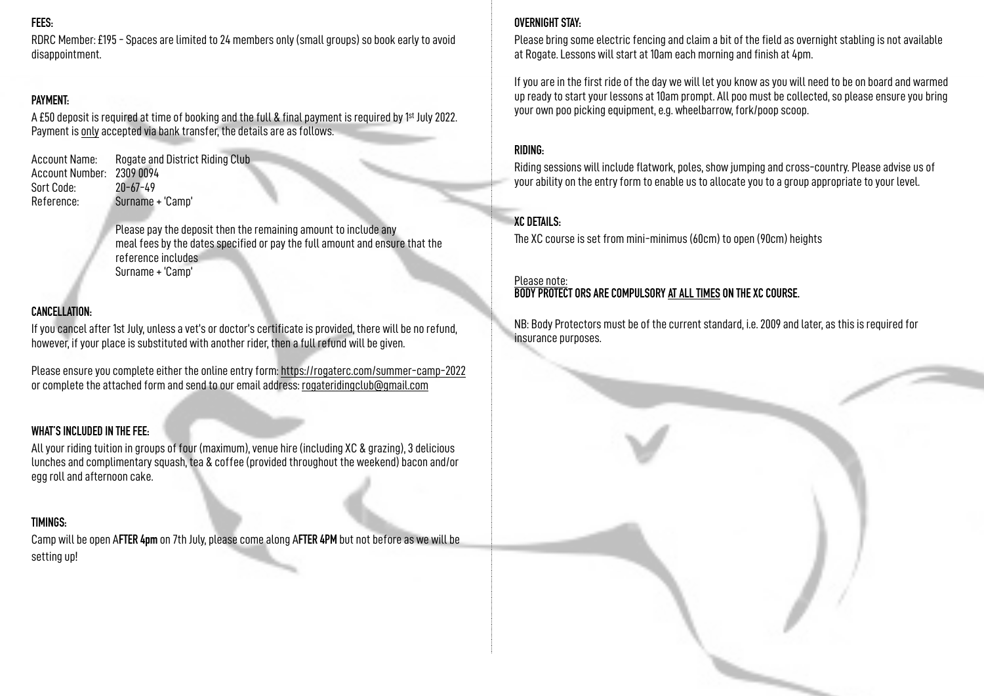#### **FEES:**

RDRC Member: £195 - Spaces are limited to 24 members only (small groups) so book early to avoid disappointment.

#### **PAYMENT:**

A £50 deposit is required at time of booking and the full & final payment is required by 1st July 2022. Payment is only accepted via bank transfer, the details are as follows.

Account Name: Rogate and District Riding Club Account Number: 2309 0094 Sort Code: 20-67-49 Reference: Surname + 'Camp'

> Please pay the deposit then the remaining amount to include any meal fees by the dates specified or pay the full amount and ensure that the reference includes Surname + 'Camp'

#### **CANCELLATION:**

If you cancel after 1st July, unless a vet's or doctor's certificate is provided, there will be no refund, however, if your place is substituted with another rider, then a full refund will be given.

Please ensure you complete either the online entry form:<https://rogaterc.com/summer-camp-2022> or complete the attached form and send to our email address: [rogateridingclub@gmail.com](mailto:rogateridingclub@gmail.com)

#### **WHAT'S INCLUDED IN THE FEE:**

All your riding tuition in groups of four (maximum), venue hire (including XC & grazing), 3 delicious lunches and complimentary squash, tea & coffee (provided throughout the weekend) bacon and/or egg roll and afternoon cake.

#### **TIMINGS:**

Camp will be open A**FTER 4pm** on 7th July, please come along A**FTER 4PM** but not before as we will be setting up!

#### **OVERNIGHT STAY:**

Please bring some electric fencing and claim a bit of the field as overnight stabling is not available at Rogate. Lessons will start at 10am each morning and finish at 4pm.

If you are in the first ride of the day we will let you know as you will need to be on board and warmed up ready to start your lessons at 10am prompt. All poo must be collected, so please ensure you bring your own poo picking equipment, e.g. wheelbarrow, fork/poop scoop.

#### **RIDING:**

Riding sessions will include flatwork, poles, show jumping and cross-country. Please advise us of your ability on the entry form to enable us to allocate you to a group appropriate to your level.

#### **XC DETAILS:**

The XC course is set from mini-minimus (60cm) to open (90cm) heights

#### Please note: **BODY PROTECT ORS ARE COMPULSORY AT ALL TIMES ON THE XC COURSE.**

NB: Body Protectors must be of the current standard, i.e. 2009 and later, as this is required for insurance purposes.